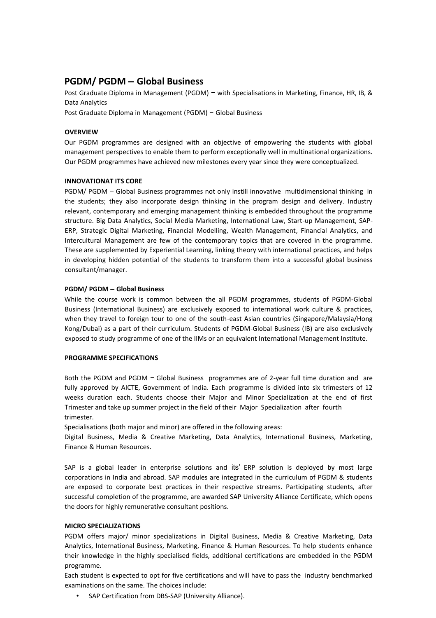# **PGDM/ PGDM – Global Business**

Post Graduate Diploma in Management (PGDM) – with Specialisations in Marketing, Finance, HR, IB, & Data Analytics

Post Graduate Diploma in Management (PGDM) − Global Business

# **OVERVIEW**

Our PGDM programmes are designed with an objective of empowering the students with global management perspectives to enable them to perform exceptionally well in multinational organizations. Our PGDM programmes have achieved new milestones every year since they were conceptualized.

# **INNOVATIONAT ITS CORE**

PGDM/ PGDM – Global Business programmes not only instill innovative multidimensional thinking in the students; they also incorporate design thinking in the program design and delivery. Industry relevant, contemporary and emerging management thinking is embedded throughout the programme structure. Big Data Analytics, Social Media Marketing, International Law, Start-up Management, SAP-ERP, Strategic Digital Marketing, Financial Modelling, Wealth Management, Financial Analytics, and Intercultural Management are few of the contemporary topics that are covered in the programme. These are supplemented by Experiential Learning, linking theory with international practices, and helps in developing hidden potential of the students to transform them into a successful global business consultant/manager.

# **PGDM/ PGDM – Global Business**

While the course work is common between the all PGDM programmes, students of PGDM-Global Business (International Business) are exclusively exposed to international work culture & practices, when they travel to foreign tour to one of the south-east Asian countries (Singapore/Malaysia/Hong Kong/Dubai) as a part of their curriculum. Students of PGDM-Global Business (IB) are also exclusively exposed to study programme of one of the IIMs or an equivalent International Management Institute.

## **PROGRAMME SPECIFICATIONS**

Both the PGDM and PGDM − Global Business programmes are of 2-year full time duration and are fully approved by AICTE, Government of India. Each programme is divided into six trimesters of 12 weeks duration each. Students choose their Major and Minor Specialization at the end of first Trimester and take up summer project in the field of their Major Specialization after fourth trimester.

Specialisations (both major and minor) are offered in the following areas:

Digital Business, Media & Creative Marketing, Data Analytics, International Business, Marketing, Finance & Human Resources.

SAP is a global leader in enterprise solutions and its' ERP solution is deployed by most large corporations in India and abroad. SAP modules are integrated in the curriculum of PGDM & students are exposed to corporate best practices in their respective streams. Participating students, after successful completion of the programme, are awarded SAP University Alliance Certificate, which opens the doors for highly remunerative consultant positions.

# **MICRO SPECIALIZATIONS**

PGDM offers major/ minor specializations in Digital Business, Media & Creative Marketing, Data Analytics, International Business, Marketing, Finance & Human Resources. To help students enhance their knowledge in the highly specialised fields, additional certifications are embedded in the PGDM programme.

Each student is expected to opt for five certifications and will have to pass the industry benchmarked examinations on the same. The choices include:

• SAP Certification from DBS-SAP (University Alliance).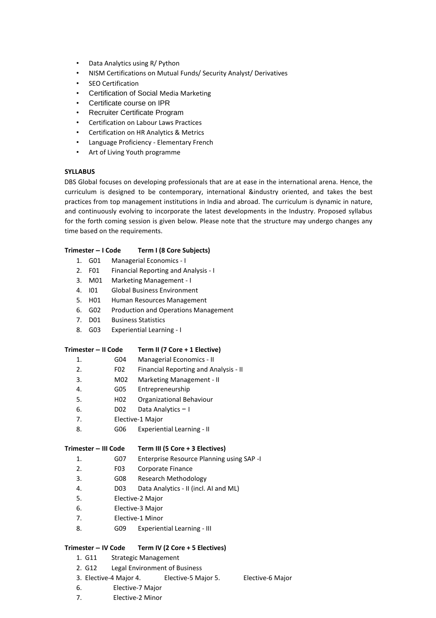- Data Analytics using R/ Python
- NISM Certifications on Mutual Funds/ Security Analyst/ Derivatives
- **SEO Certification**
- Certification of Social Media Marketing
- Certificate course on IPR
- Recruiter Certificate Program
- Certification on Labour Laws Practices
- Certification on HR Analytics & Metrics
- Language Proficiency Elementary French
- Art of Living Youth programme

# **SYLLABUS**

DBS Global focuses on developing professionals that are at ease in the international arena. Hence, the curriculum is designed to be contemporary, international &industry oriented, and takes the best practices from top management institutions in India and abroad. The curriculum is dynamic in nature, and continuously evolving to incorporate the latest developments in the Industry. Proposed syllabus for the forth coming session is given below. Please note that the structure may undergo changes any time based on the requirements.

# **Trimester – I Code Term I (8 Core Subjects)**

- 1. G01 Managerial Economics I 2. F01 Financial Reporting and Analysis - I 3. M01 Marketing Management - I 4. I01 Global Business Environment 5. H01 Human Resources Management 6. G02 Production and Operations Management 7. D01 Business Statistics 8. G03 Experiential Learning - I **Trimester – II Code Term II (7 Core + 1 Elective)**  1. G04 Managerial Economics - II 2. F02 Financial Reporting and Analysis - II 3. M02 Marketing Management - II 4. G05 Entrepreneurship 5. H02 Organizational Behaviour 6. D02 Data Analytics − I 7. Elective-1 Major
	-
	- 8. **GO6** Experiential Learning II

## **Trimester – III Code Term III (5 Core + 3 Electives)**

- 1. G07 Enterprise Resource Planning using SAP -I
- 2. F03 Corporate Finance
- 3. G08 Research Methodology
- 4. D03 Data Analytics II (incl. AI and ML)
- 5. Elective-2 Major
- 6. Elective-3 Major
- 7. Elective-1 Minor
- 8. **G09** Experiential Learning III

# **Trimester – IV Code Term IV (2 Core + 5 Electives)**

- 1. G11 Strategic Management
- 2. G12 Legal Environment of Business
- 3. Elective-4 Major 4. Elective-5 Major 5. Elective-6 Major
- 6. Elective-7 Major
- 7. Elective-2 Minor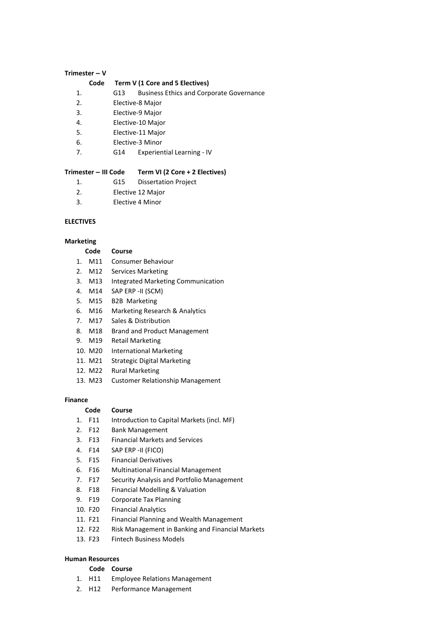## **Trimester – V**

#### **Code Term V (1 Core and 5 Electives)**

- 1. G13 Business Ethics and Corporate Governance
- 2. Elective-8 Major
- 3. Elective-9 Major
- 4. Elective-10 Major
- 5. Elective-11 Major
- 6. Elective-3 Minor
- 7. G14 Experiential Learning IV

#### **Trimester – III Code Term VI (2 Core + 2 Electives)**

- 1. G15 Dissertation Project
- 2. Elective 12 Major
- 3. Elective 4 Minor

## **ELECTIVES**

#### **Marketing**

## **Code Course**

- 1. M11 Consumer Behaviour
- 2. M12 Services Marketing
- 3. M13 Integrated Marketing Communication
- 4. M14 SAP ERP -II (SCM)
- 5. M15 B2B Marketing
- 6. M16 Marketing Research & Analytics
- 7. M17 Sales & Distribution
- 8. M18 Brand and Product Management
- 9. M19 Retail Marketing
- 10. M20 International Marketing
- 11. M21 Strategic Digital Marketing
- 12. M22 Rural Marketing
- 13. M23 Customer Relationship Management

# **Finance**

## **Code Course**

- 1. F11 Introduction to Capital Markets (incl. MF)
- 2. F12 Bank Management
- 3. F13 Financial Markets and Services
- 4. F14 SAP ERP -II (FICO)
- 5. F15 Financial Derivatives
- 6. F16 Multinational Financial Management
- 7. F17 Security Analysis and Portfolio Management
- 8. F18 Financial Modelling & Valuation
- 9. F19 Corporate Tax Planning
- 10. F20 Financial Analytics
- 11. F21 Financial Planning and Wealth Management
- 12. F22 Risk Management in Banking and Financial Markets
- 13. F23 Fintech Business Models

# **Human Resources**

#### **Code Course**

- 1. H11 Employee Relations Management
- 2. H12 Performance Management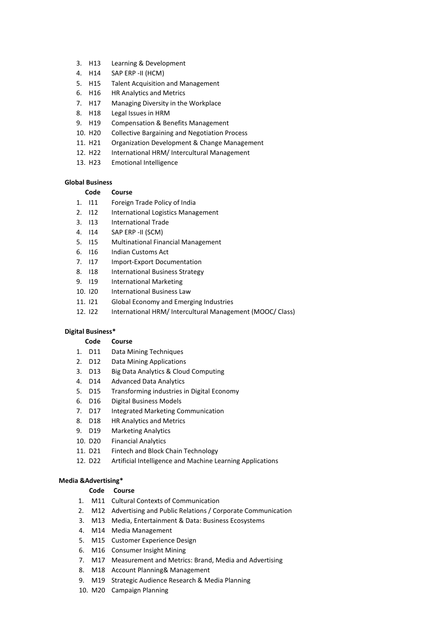- 3. H13 Learning & Development
- 4. H14 SAP ERP -II (HCM)
- 5. H15 Talent Acquisition and Management
- 6. H16 HR Analytics and Metrics
- 7. H17 Managing Diversity in the Workplace
- 8. H18 Legal Issues in HRM
- 9. H19 Compensation & Benefits Management
- 10. H20 Collective Bargaining and Negotiation Process
- 11. H21 Organization Development & Change Management
- 12. H22 International HRM/ Intercultural Management
- 13. H23 Emotional Intelligence

## **Global Business**

## **Code Course**

- 1. I11 Foreign Trade Policy of India
- 2. I12 International Logistics Management
- 3. I13 International Trade
- 4. I14 SAP ERP -II (SCM)
- 5. I15 Multinational Financial Management
- 6. I16 Indian Customs Act
- 7. I17 Import-Export Documentation
- 8. I18 International Business Strategy
- 9. I19 International Marketing
- 10. I20 International Business Law
- 11. I21 Global Economy and Emerging Industries
- 12. I22 International HRM/ Intercultural Management (MOOC/ Class)

#### **Digital Business\***

# **Code Course**

- 1. D11 Data Mining Techniques
- 2. D12 Data Mining Applications
- 3. D13 Big Data Analytics & Cloud Computing
- 4. D14 Advanced Data Analytics
- 5. D15 Transforming industries in Digital Economy
- 6. D16 Digital Business Models
- 7. D17 Integrated Marketing Communication
- 8. D18 HR Analytics and Metrics
- 9. D19 Marketing Analytics
- 10. D20 Financial Analytics
- 11. D21 Fintech and Block Chain Technology
- 12. D22 Artificial Intelligence and Machine Learning Applications

## **Media &Advertising\***

#### **Code Course**

- 1. M11 Cultural Contexts of Communication
- 2. M12 Advertising and Public Relations / Corporate Communication
- 3. M13 Media, Entertainment & Data: Business Ecosystems
- 4. M14 Media Management
- 5. M15 Customer Experience Design
- 6. M16 Consumer Insight Mining
- 7. M17 Measurement and Metrics: Brand, Media and Advertising
- 8. M18 Account Planning& Management
- 9. M19 Strategic Audience Research & Media Planning
- 10. M20 Campaign Planning